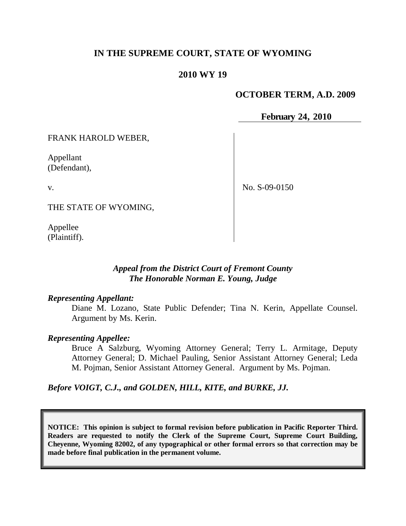## **IN THE SUPREME COURT, STATE OF WYOMING**

## **2010 WY 19**

### **OCTOBER TERM, A.D. 2009**

**February 24, 2010**

FRANK HAROLD WEBER,

Appellant (Defendant),

v.

No. S-09-0150

THE STATE OF WYOMING,

Appellee (Plaintiff).

## *Appeal from the District Court of Fremont County The Honorable Norman E. Young, Judge*

### *Representing Appellant:*

Diane M. Lozano, State Public Defender; Tina N. Kerin, Appellate Counsel. Argument by Ms. Kerin.

### *Representing Appellee:*

Bruce A Salzburg, Wyoming Attorney General; Terry L. Armitage, Deputy Attorney General; D. Michael Pauling, Senior Assistant Attorney General; Leda M. Pojman, Senior Assistant Attorney General. Argument by Ms. Pojman.

*Before VOIGT, C.J., and GOLDEN, HILL, KITE, and BURKE, JJ.*

**NOTICE: This opinion is subject to formal revision before publication in Pacific Reporter Third. Readers are requested to notify the Clerk of the Supreme Court, Supreme Court Building, Cheyenne, Wyoming 82002, of any typographical or other formal errors so that correction may be made before final publication in the permanent volume.**